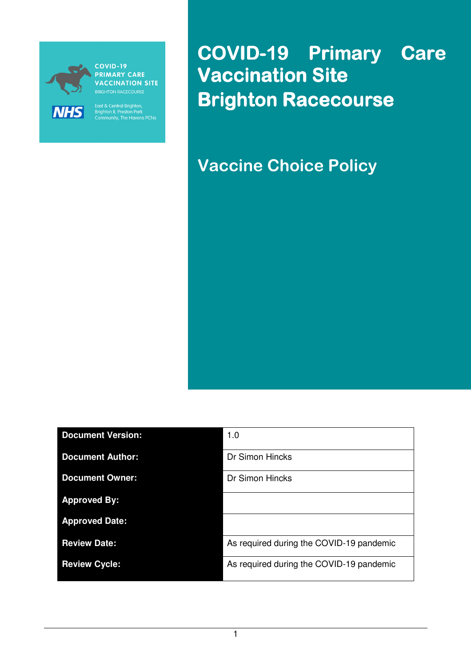

**VACCINATION SITE** 

East & Central Brighton,<br>Brighton II, Preston Park<br>Community, The Havens PCNs

COVID-19 Primary Care **Vaccination Site** Brighton Racecourse

Vaccine Choice Policy

| <b>Document Version:</b> | 1.0                                      |
|--------------------------|------------------------------------------|
| <b>Document Author:</b>  | Dr Simon Hincks                          |
| <b>Document Owner:</b>   | Dr Simon Hincks                          |
| <b>Approved By:</b>      |                                          |
| <b>Approved Date:</b>    |                                          |
| <b>Review Date:</b>      | As required during the COVID-19 pandemic |
| <b>Review Cycle:</b>     | As required during the COVID-19 pandemic |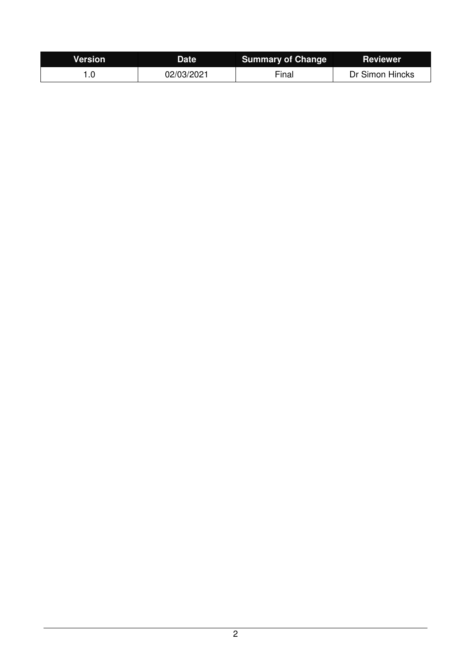| <b>Version</b> | <b>Date</b> | <b>Summary of Change</b> | <b>Reviewer</b> |
|----------------|-------------|--------------------------|-----------------|
|                | 02/03/2021  | Final                    | Dr Simon Hincks |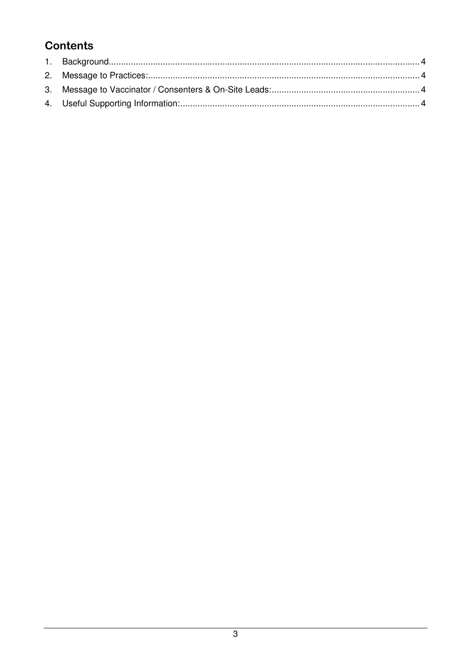# **Contents**